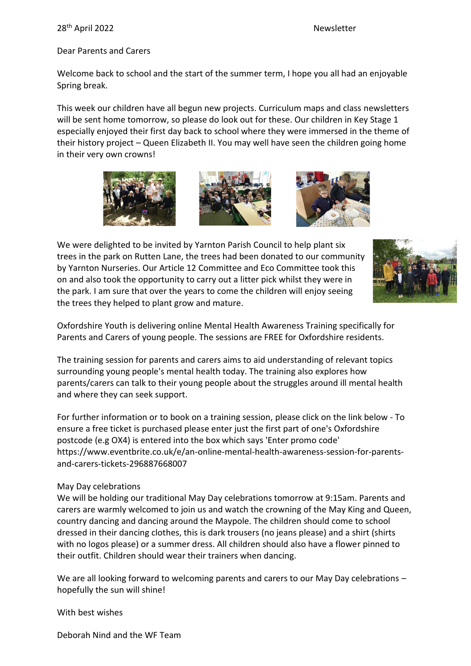#### 28th April 2022 Newsletter

#### Dear Parents and Carers

Welcome back to school and the start of the summer term, I hope you all had an enjoyable Spring break.

This week our children have all begun new projects. Curriculum maps and class newsletters will be sent home tomorrow, so please do look out for these. Our children in Key Stage 1 especially enjoyed their first day back to school where they were immersed in the theme of their history project – Queen Elizabeth II. You may well have seen the children going home in their very own crowns!







We were delighted to be invited by Yarnton Parish Council to help plant six trees in the park on Rutten Lane, the trees had been donated to our community by Yarnton Nurseries. Our Article 12 Committee and Eco Committee took this on and also took the opportunity to carry out a litter pick whilst they were in the park. I am sure that over the years to come the children will enjoy seeing the trees they helped to plant grow and mature.



Oxfordshire Youth is delivering online Mental Health Awareness Training specifically for Parents and Carers of young people. The sessions are FREE for Oxfordshire residents.

The training session for parents and carers aims to aid understanding of relevant topics surrounding young people's mental health today. The training also explores how parents/carers can talk to their young people about the struggles around ill mental health and where they can seek support.

For further information or to book on a training session, please click on the link below - To ensure a free ticket is purchased please enter just the first part of one's Oxfordshire postcode (e.g OX4) is entered into the box which says 'Enter promo code' https://www.eventbrite.co.uk/e/an-online-mental-health-awareness-session-for-parentsand-carers-tickets-296887668007

#### May Day celebrations

We will be holding our traditional May Day celebrations tomorrow at 9:15am. Parents and carers are warmly welcomed to join us and watch the crowning of the May King and Queen, country dancing and dancing around the Maypole. The children should come to school dressed in their dancing clothes, this is dark trousers (no jeans please) and a shirt (shirts with no logos please) or a summer dress. All children should also have a flower pinned to their outfit. Children should wear their trainers when dancing.

We are all looking forward to welcoming parents and carers to our May Day celebrations – hopefully the sun will shine!

With best wishes

Deborah Nind and the WF Team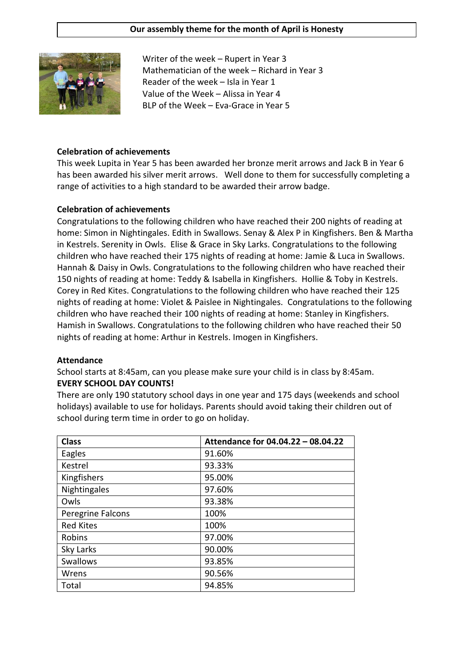#### **Our assembly theme for the month of April is Honesty**



Writer of the week – Rupert in Year 3 Mathematician of the week – Richard in Year 3 Reader of the week – Isla in Year 1 Value of the Week – Alissa in Year 4 BLP of the Week – Eva-Grace in Year 5

#### **Celebration of achievements**

This week Lupita in Year 5 has been awarded her bronze merit arrows and Jack B in Year 6 has been awarded his silver merit arrows. Well done to them for successfully completing a range of activities to a high standard to be awarded their arrow badge.

#### **Celebration of achievements**

Congratulations to the following children who have reached their 200 nights of reading at home: Simon in Nightingales. Edith in Swallows. Senay & Alex P in Kingfishers. Ben & Martha in Kestrels. Serenity in Owls. Elise & Grace in Sky Larks. Congratulations to the following children who have reached their 175 nights of reading at home: Jamie & Luca in Swallows. Hannah & Daisy in Owls. Congratulations to the following children who have reached their 150 nights of reading at home: Teddy & Isabella in Kingfishers. Hollie & Toby in Kestrels. Corey in Red Kites. Congratulations to the following children who have reached their 125 nights of reading at home: Violet & Paislee in Nightingales. Congratulations to the following children who have reached their 100 nights of reading at home: Stanley in Kingfishers. Hamish in Swallows. Congratulations to the following children who have reached their 50 nights of reading at home: Arthur in Kestrels. Imogen in Kingfishers.

#### **Attendance**

School starts at 8:45am, can you please make sure your child is in class by 8:45am. **EVERY SCHOOL DAY COUNTS!**

There are only 190 statutory school days in one year and 175 days (weekends and school holidays) available to use for holidays. Parents should avoid taking their children out of school during term time in order to go on holiday.

| <b>Class</b>      | Attendance for 04.04.22 - 08.04.22 |
|-------------------|------------------------------------|
| Eagles            | 91.60%                             |
| Kestrel           | 93.33%                             |
| Kingfishers       | 95.00%                             |
| Nightingales      | 97.60%                             |
| Owls              | 93.38%                             |
| Peregrine Falcons | 100%                               |
| <b>Red Kites</b>  | 100%                               |
| Robins            | 97.00%                             |
| Sky Larks         | 90.00%                             |
| <b>Swallows</b>   | 93.85%                             |
| Wrens             | 90.56%                             |
| Total             | 94.85%                             |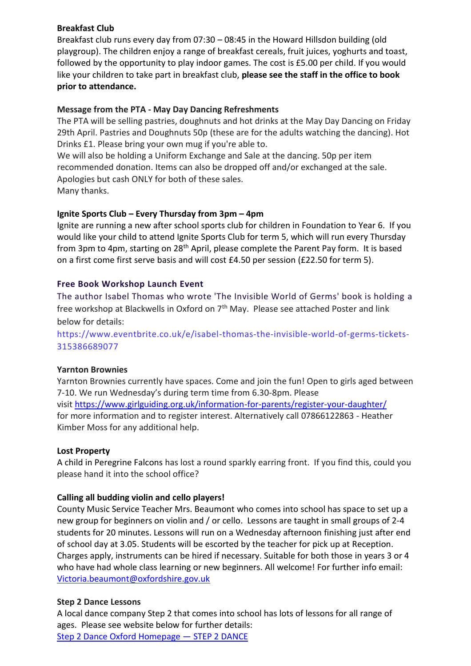# **Breakfast Club**

Breakfast club runs every day from 07:30 – 08:45 in the Howard Hillsdon building (old playgroup). The children enjoy a range of breakfast cereals, fruit juices, yoghurts and toast, followed by the opportunity to play indoor games. The cost is £5.00 per child. If you would like your children to take part in breakfast club, **please see the staff in the office to book prior to attendance.**

# **Message from the PTA - May Day Dancing Refreshments**

The PTA will be selling pastries, doughnuts and hot drinks at the May Day Dancing on Friday 29th April. Pastries and Doughnuts 50p (these are for the adults watching the dancing). Hot Drinks £1. Please bring your own mug if you're able to.

We will also be holding a Uniform Exchange and Sale at the dancing. 50p per item recommended donation. Items can also be dropped off and/or exchanged at the sale. Apologies but cash ONLY for both of these sales. Many thanks.

# **Ignite Sports Club – Every Thursday from 3pm – 4pm**

Ignite are running a new after school sports club for children in Foundation to Year 6. If you would like your child to attend Ignite Sports Club for term 5, which will run every Thursday from 3pm to 4pm, starting on 28<sup>th</sup> April, please complete the Parent Pay form. It is based on a first come first serve basis and will cost £4.50 per session (£22.50 for term 5).

# **Free Book Workshop Launch Event**

The author Isabel Thomas who wrote 'The Invisible World of Germs' book is holding a free workshop at Blackwells in Oxford on  $7<sup>th</sup>$  May. Please see attached Poster and link below for details:

https://www.eventbrite.co.uk/e/isabel-thomas-the-invisible-world-of-germs-tickets-315386689077

#### **Yarnton Brownies**

Yarnton Brownies currently have spaces. Come and join the fun! Open to girls aged between 7-10. We run Wednesday's during term time from 6.30-8pm. Please visit <https://www.girlguiding.org.uk/information-for-parents/register-your-daughter/> for more information and to register interest. Alternatively call 07866122863 - Heather Kimber Moss for any additional help.

#### **Lost Property**

A child in Peregrine Falcons has lost a round sparkly earring front. If you find this, could you please hand it into the school office?

#### **Calling all budding violin and cello players!**

County Music Service Teacher Mrs. Beaumont who comes into school has space to set up a new group for beginners on violin and / or cello. Lessons are taught in small groups of 2-4 students for 20 minutes. Lessons will run on a Wednesday afternoon finishing just after end of school day at 3.05. Students will be escorted by the teacher for pick up at Reception. Charges apply, instruments can be hired if necessary. Suitable for both those in years 3 or 4 who have had whole class learning or new beginners. All welcome! For further info email: [Victoria.beaumont@oxfordshire.gov.uk](mailto:Victoria.beaumont@oxfordshire.gov.uk)

#### **Step 2 Dance Lessons**

A local dance company Step 2 that comes into school has lots of lessons for all range of ages. Please see website below for further details:

[Step 2 Dance Oxford Homepage](https://www.step2dance.co.uk/home) — STEP 2 DANCE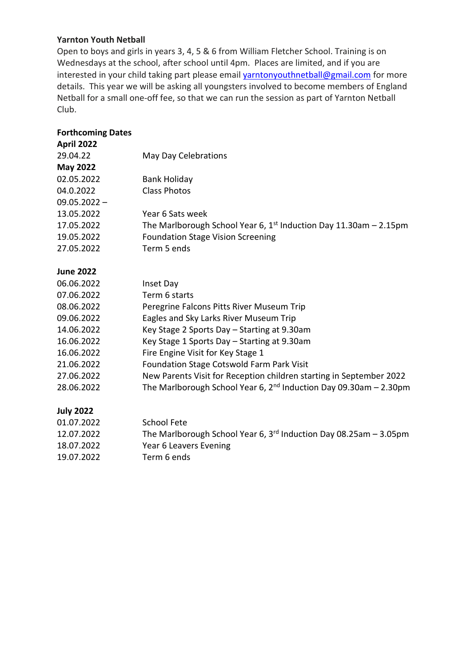# **Yarnton Youth Netball**

Open to boys and girls in years 3, 4, 5 & 6 from William Fletcher School. Training is on Wednesdays at the school, after school until 4pm. Places are limited, and if you are interested in your child taking part please email **[yarntonyouthnetball@gmail.com](mailto:yarntonyouthnetball@gmail.com)** for more details. This year we will be asking all youngsters involved to become members of England Netball for a small one-off fee, so that we can run the session as part of Yarnton Netball Club.

| <b>Forthcoming Dates</b> |                                                                     |
|--------------------------|---------------------------------------------------------------------|
| April 2022               |                                                                     |
| 29.04.22                 | May Day Celebrations                                                |
| <b>May 2022</b>          |                                                                     |
| 02.05.2022               | <b>Bank Holiday</b>                                                 |
| 04.0.2022                | <b>Class Photos</b>                                                 |
| $09.05.2022 -$           |                                                                     |
| 13.05.2022               | Year 6 Sats week                                                    |
| 17.05.2022               | The Marlborough School Year 6, $1st$ Induction Day 11.30am - 2.15pm |
| 19.05.2022               | <b>Foundation Stage Vision Screening</b>                            |
| 27.05.2022               | Term 5 ends                                                         |
| <b>June 2022</b>         |                                                                     |
| 06.06.2022               | Inset Day                                                           |
| 07.06.2022               | Term 6 starts                                                       |
| 08.06.2022               | Peregrine Falcons Pitts River Museum Trip                           |
| 09.06.2022               | Eagles and Sky Larks River Museum Trip                              |
| 14.06.2022               | Key Stage 2 Sports Day - Starting at 9.30am                         |
| 16.06.2022               | Key Stage 1 Sports Day - Starting at 9.30am                         |
| 16.06.2022               | Fire Engine Visit for Key Stage 1                                   |
| 21.06.2022               | Foundation Stage Cotswold Farm Park Visit                           |
| 27.06.2022               | New Parents Visit for Reception children starting in September 2022 |
| 28.06.2022               | The Marlborough School Year 6, $2nd$ Induction Day 09.30am - 2.30pm |
| <b>July 2022</b>         |                                                                     |
| 01.07.2022               | <b>School Fete</b>                                                  |
| 12.07.2022               | The Marlborough School Year 6, $3rd$ Induction Day 08.25am - 3.05pm |
| 18.07.2022               | Year 6 Leavers Evening                                              |

19.07.2022 Term 6 ends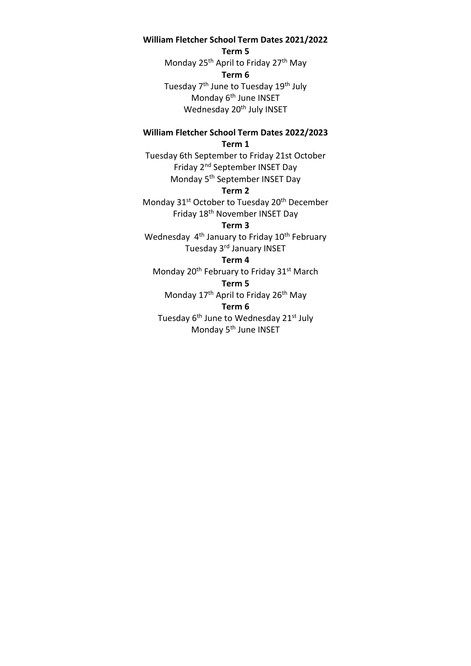#### **William Fletcher School Term Dates 2021/2022**

**Term 5**

Monday 25<sup>th</sup> April to Friday 27<sup>th</sup> May **Term 6** Tuesday 7<sup>th</sup> June to Tuesday 19<sup>th</sup> July Monday 6<sup>th</sup> June INSET Wednesday 20<sup>th</sup> July INSET

#### **William Fletcher School Term Dates 2022/2023 Term 1**

Tuesday 6th September to Friday 21st October Friday 2nd September INSET Day Monday 5th September INSET Day

#### **Term 2**

Monday 31<sup>st</sup> October to Tuesday 20<sup>th</sup> December Friday 18th November INSET Day

#### **Term 3**

Wednesday 4<sup>th</sup> January to Friday 10<sup>th</sup> February Tuesday 3rd January INSET

# **Term 4**

Monday 20<sup>th</sup> February to Friday 31<sup>st</sup> March

#### **Term 5**

Monday 17<sup>th</sup> April to Friday 26<sup>th</sup> May

#### **Term 6**

Tuesday 6<sup>th</sup> June to Wednesday 21<sup>st</sup> July Monday 5<sup>th</sup> June INSET